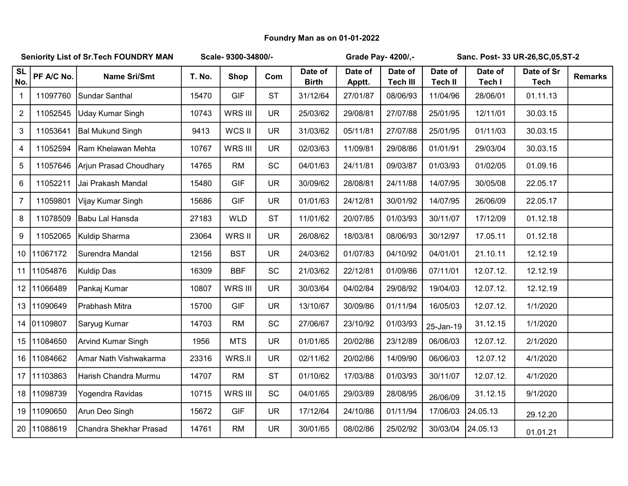## Foundry Man as on 01-01-2022

| <b>Seniority List of Sr. Tech FOUNDRY MAN</b> |             |                         | Scale-9300-34800/- |             |           |                         | Grade Pay- 4200/,- |                            | Sanc. Post- 33 UR-26, SC, 05, ST-2 |                   |                           |                |
|-----------------------------------------------|-------------|-------------------------|--------------------|-------------|-----------|-------------------------|--------------------|----------------------------|------------------------------------|-------------------|---------------------------|----------------|
| <b>SL</b><br>No.                              | PF A/C No.  | <b>Name Sri/Smt</b>     | T. No.             | <b>Shop</b> | Com       | Date of<br><b>Birth</b> | Date of<br>Apptt.  | Date of<br><b>Tech III</b> | Date of<br><b>Tech II</b>          | Date of<br>Tech I | Date of Sr<br><b>Tech</b> | <b>Remarks</b> |
| $\mathbf 1$                                   | 11097760    | Sundar Santhal          | 15470              | <b>GIF</b>  | <b>ST</b> | 31/12/64                | 27/01/87           | 08/06/93                   | 11/04/96                           | 28/06/01          | 01.11.13                  |                |
| $\overline{2}$                                | 11052545    | Uday Kumar Singh        | 10743              | WRS III     | <b>UR</b> | 25/03/62                | 29/08/81           | 27/07/88                   | 25/01/95                           | 12/11/01          | 30.03.15                  |                |
| 3                                             | 11053641    | <b>Bal Mukund Singh</b> | 9413               | WCS II      | <b>UR</b> | 31/03/62                | 05/11/81           | 27/07/88                   | 25/01/95                           | 01/11/03          | 30.03.15                  |                |
| 4                                             | 11052594    | Ram Khelawan Mehta      | 10767              | WRS III     | <b>UR</b> | 02/03/63                | 11/09/81           | 29/08/86                   | 01/01/91                           | 29/03/04          | 30.03.15                  |                |
| 5                                             | 11057646    | Arjun Prasad Choudhary  | 14765              | <b>RM</b>   | SC        | 04/01/63                | 24/11/81           | 09/03/87                   | 01/03/93                           | 01/02/05          | 01.09.16                  |                |
| 6                                             | 11052211    | Jai Prakash Mandal      | 15480              | <b>GIF</b>  | <b>UR</b> | 30/09/62                | 28/08/81           | 24/11/88                   | 14/07/95                           | 30/05/08          | 22.05.17                  |                |
| $\overline{7}$                                | 11059801    | Vijay Kumar Singh       | 15686              | <b>GIF</b>  | <b>UR</b> | 01/01/63                | 24/12/81           | 30/01/92                   | 14/07/95                           | 26/06/09          | 22.05.17                  |                |
| 8                                             | 11078509    | Babu Lal Hansda         | 27183              | <b>WLD</b>  | <b>ST</b> | 11/01/62                | 20/07/85           | 01/03/93                   | 30/11/07                           | 17/12/09          | 01.12.18                  |                |
| $\boldsymbol{9}$                              | 11052065    | Kuldip Sharma           | 23064              | WRS II      | <b>UR</b> | 26/08/62                | 18/03/81           | 08/06/93                   | 30/12/97                           | 17.05.11          | 01.12.18                  |                |
|                                               | 10 11067172 | Surendra Mandal         | 12156              | <b>BST</b>  | <b>UR</b> | 24/03/62                | 01/07/83           | 04/10/92                   | 04/01/01                           | 21.10.11          | 12.12.19                  |                |
|                                               | 11 11054876 | Kuldip Das              | 16309              | <b>BBF</b>  | SC        | 21/03/62                | 22/12/81           | 01/09/86                   | 07/11/01                           | 12.07.12.         | 12.12.19                  |                |
|                                               | 12 11066489 | Pankaj Kumar            | 10807              | WRS III     | <b>UR</b> | 30/03/64                | 04/02/84           | 29/08/92                   | 19/04/03                           | 12.07.12.         | 12.12.19                  |                |
|                                               | 13 11090649 | Prabhash Mitra          | 15700              | <b>GIF</b>  | <b>UR</b> | 13/10/67                | 30/09/86           | 01/11/94                   | 16/05/03                           | 12.07.12.         | 1/1/2020                  |                |
|                                               | 14 01109807 | Saryug Kumar            | 14703              | <b>RM</b>   | SC        | 27/06/67                | 23/10/92           | 01/03/93                   | 25-Jan-19                          | 31.12.15          | 1/1/2020                  |                |
|                                               | 15 11084650 | Arvind Kumar Singh      | 1956               | <b>MTS</b>  | <b>UR</b> | 01/01/65                | 20/02/86           | 23/12/89                   | 06/06/03                           | 12.07.12.         | 2/1/2020                  |                |
|                                               | 16 11084662 | Amar Nath Vishwakarma   | 23316              | WRS.II      | <b>UR</b> | 02/11/62                | 20/02/86           | 14/09/90                   | 06/06/03                           | 12.07.12          | 4/1/2020                  |                |
|                                               | 17 11103863 | Harish Chandra Murmu    | 14707              | <b>RM</b>   | <b>ST</b> | 01/10/62                | 17/03/88           | 01/03/93                   | 30/11/07                           | 12.07.12.         | 4/1/2020                  |                |
|                                               | 18 11098739 | Yogendra Ravidas        | 10715              | WRS III     | SC        | 04/01/65                | 29/03/89           | 28/08/95                   | 26/06/09                           | 31.12.15          | 9/1/2020                  |                |
|                                               | 19 11090650 | Arun Deo Singh          | 15672              | <b>GIF</b>  | <b>UR</b> | 17/12/64                | 24/10/86           | 01/11/94                   | 17/06/03                           | 24.05.13          | 29.12.20                  |                |
|                                               | 20 11088619 | Chandra Shekhar Prasad  | 14761              | <b>RM</b>   | <b>UR</b> | 30/01/65                | 08/02/86           | 25/02/92                   | 30/03/04                           | 24.05.13          | 01.01.21                  |                |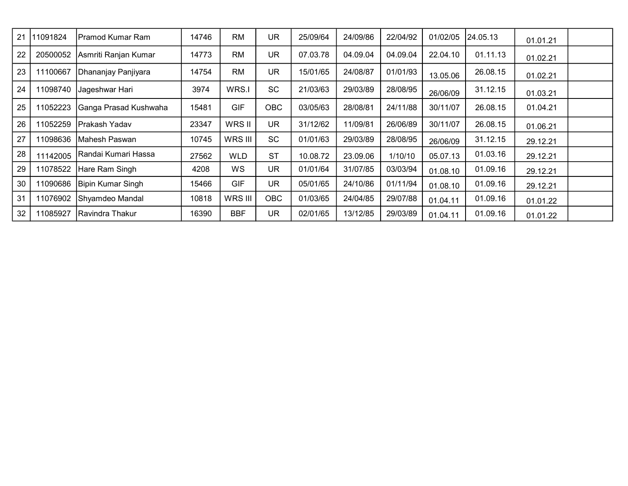| 21 | 11091824 | IPramod Kumar Ram      | 14746 | <b>RM</b>  | UR         | 25/09/64 | 24/09/86 | 22/04/92 | 01/02/05 | 24.05.13 | 01.01.21 |  |
|----|----------|------------------------|-------|------------|------------|----------|----------|----------|----------|----------|----------|--|
| 22 | 20500052 | Asmriti Ranjan Kumar   | 14773 | <b>RM</b>  | <b>UR</b>  | 07.03.78 | 04.09.04 | 04.09.04 | 22.04.10 | 01.11.13 | 01.02.21 |  |
| 23 | 11100667 | Dhananjay Panjiyara    | 14754 | <b>RM</b>  | <b>UR</b>  | 15/01/65 | 24/08/87 | 01/01/93 | 13.05.06 | 26.08.15 | 01.02.21 |  |
| 24 | 11098740 | Jageshwar Hari         | 3974  | WRS.I      | <b>SC</b>  | 21/03/63 | 29/03/89 | 28/08/95 | 26/06/09 | 31.12.15 | 01.03.21 |  |
| 25 | 11052223 | Ganga Prasad Kushwaha  | 15481 | <b>GIF</b> | <b>OBC</b> | 03/05/63 | 28/08/81 | 24/11/88 | 30/11/07 | 26.08.15 | 01.04.21 |  |
| 26 | 11052259 | Prakash Yadav          | 23347 | WRS II     | <b>UR</b>  | 31/12/62 | 11/09/81 | 26/06/89 | 30/11/07 | 26.08.15 | 01.06.21 |  |
| 27 | 11098636 | Mahesh Paswan          | 10745 | WRS III    | <b>SC</b>  | 01/01/63 | 29/03/89 | 28/08/95 | 26/06/09 | 31.12.15 | 29.12.21 |  |
| 28 | 11142005 | Randai Kumari Hassa    | 27562 | <b>WLD</b> | <b>ST</b>  | 10.08.72 | 23.09.06 | 1/10/10  | 05.07.13 | 01.03.16 | 29.12.21 |  |
| 29 | 11078522 | Hare Ram Singh         | 4208  | <b>WS</b>  | <b>UR</b>  | 01/01/64 | 31/07/85 | 03/03/94 | 01.08.10 | 01.09.16 | 29.12.21 |  |
| 30 | 11090686 | Bipin Kumar Singh      | 15466 | <b>GIF</b> | <b>UR</b>  | 05/01/65 | 24/10/86 | 01/11/94 | 01.08.10 | 01.09.16 | 29.12.21 |  |
| 31 | 11076902 | Shyamdeo Mandal        | 10818 | WRS III    | <b>OBC</b> | 01/03/65 | 24/04/85 | 29/07/88 | 01.04.11 | 01.09.16 | 01.01.22 |  |
| 32 | 11085927 | <b>Ravindra Thakur</b> | 16390 | <b>BBF</b> | <b>UR</b>  | 02/01/65 | 13/12/85 | 29/03/89 | 01.04.11 | 01.09.16 | 01.01.22 |  |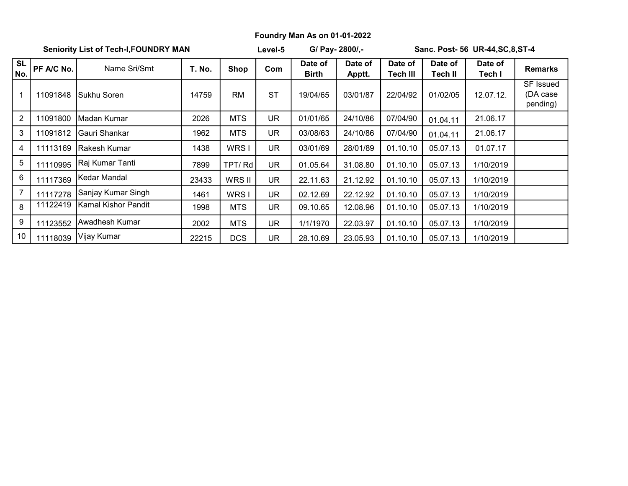## Foundry Man As on 01-01-2022

Seniority List of Tech-I,FOUNDRY MAN Level-5 G/ Pay- 2800/,-

Level-5

Sanc. Post- 56 UR-44,SC,8,ST-4

| <b>SL</b><br>No. | PF A/C No. | Name Sri/Smt        | T. No. | Shop       | Com       | Date of<br>Birth | Date of<br>Apptt. | Date of<br><b>Tech III</b> | Date of<br>Tech II | Date of<br>Tech I | <b>Remarks</b>                    |
|------------------|------------|---------------------|--------|------------|-----------|------------------|-------------------|----------------------------|--------------------|-------------------|-----------------------------------|
| 1                | 11091848   | Sukhu Soren         | 14759  | RM         | <b>ST</b> | 19/04/65         | 03/01/87          | 22/04/92                   | 01/02/05           | 12.07.12.         | SF Issued<br>(DA case<br>pending) |
| $\overline{2}$   | 11091800   | Madan Kumar         | 2026   | <b>MTS</b> | UR        | 01/01/65         | 24/10/86          | 07/04/90                   | 01.04.11           | 21.06.17          |                                   |
| 3                | 11091812   | Gauri Shankar       | 1962   | <b>MTS</b> | UR.       | 03/08/63         | 24/10/86          | 07/04/90                   | 01.04.11           | 21.06.17          |                                   |
| 4                | 11113169   | Rakesh Kumar        | 1438   | WRS I      | UR        | 03/01/69         | 28/01/89          | 01.10.10                   | 05.07.13           | 01.07.17          |                                   |
| 5                | 11110995   | Raj Kumar Tanti     | 7899   | TPT/ Rd    | UR        | 01.05.64         | 31.08.80          | 01.10.10                   | 05.07.13           | 1/10/2019         |                                   |
| 6                | 11117369   | Kedar Mandal        | 23433  | WRS II     | UR        | 22.11.63         | 21.12.92          | 01.10.10                   | 05.07.13           | 1/10/2019         |                                   |
| $\overline{7}$   | 11117278   | Sanjay Kumar Singh  | 1461   | WRS I      | UR        | 02.12.69         | 22.12.92          | 01.10.10                   | 05.07.13           | 1/10/2019         |                                   |
| 8                | 11122419   | Kamal Kishor Pandit | 1998   | <b>MTS</b> | UR        | 09.10.65         | 12.08.96          | 01.10.10                   | 05.07.13           | 1/10/2019         |                                   |
| 9                | 11123552   | Awadhesh Kumar      | 2002   | <b>MTS</b> | UR        | 1/1/1970         | 22.03.97          | 01.10.10                   | 05.07.13           | 1/10/2019         |                                   |
| 10               | 11118039   | Vijay Kumar         | 22215  | <b>DCS</b> | UR        | 28.10.69         | 23.05.93          | 01.10.10                   | 05.07.13           | 1/10/2019         |                                   |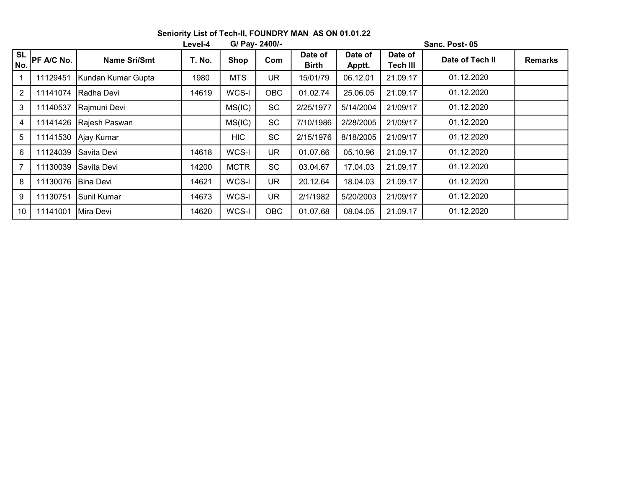|                  |                   |                     | Level-4 | G/ Pay- 2400/- |            | Sanc. Post-05           |                   |                            |                 |                |  |  |
|------------------|-------------------|---------------------|---------|----------------|------------|-------------------------|-------------------|----------------------------|-----------------|----------------|--|--|
| <b>SL</b><br>No. | <b>PF A/C No.</b> | <b>Name Sri/Smt</b> | T. No.  | <b>Shop</b>    | Com        | Date of<br><b>Birth</b> | Date of<br>Apptt. | Date of<br><b>Tech III</b> | Date of Tech II | <b>Remarks</b> |  |  |
|                  | 11129451          | Kundan Kumar Gupta  | 1980    | <b>MTS</b>     | UR.        | 15/01/79                | 06.12.01          | 21.09.17                   | 01.12.2020      |                |  |  |
| $\overline{2}$   | 11141074          | Radha Devi          | 14619   | WCS-I          | <b>OBC</b> | 01.02.74                | 25.06.05          | 21.09.17                   | 01.12.2020      |                |  |  |
| 3                | 11140537          | Rajmuni Devi        |         | MS(IC)         | SC         | 2/25/1977               | 5/14/2004         | 21/09/17                   | 01.12.2020      |                |  |  |
| 4                | 11141426          | Rajesh Paswan       |         | MS(IC)         | <b>SC</b>  | 7/10/1986               | 2/28/2005         | 21/09/17                   | 01.12.2020      |                |  |  |
| 5                | 11141530          | Ajay Kumar          |         | <b>HIC</b>     | SC         | 2/15/1976               | 8/18/2005         | 21/09/17                   | 01.12.2020      |                |  |  |
| 6                | 11124039          | Savita Devi         | 14618   | WCS-I          | <b>UR</b>  | 01.07.66                | 05.10.96          | 21.09.17                   | 01.12.2020      |                |  |  |
| 7                | 11130039          | lSavita Devi        | 14200   | <b>MCTR</b>    | <b>SC</b>  | 03.04.67                | 17.04.03          | 21.09.17                   | 01.12.2020      |                |  |  |
| 8                | 11130076          | lBina Devi          | 14621   | WCS-I          | <b>UR</b>  | 20.12.64                | 18.04.03          | 21.09.17                   | 01.12.2020      |                |  |  |
| 9                | 11130751          | Sunil Kumar         | 14673   | WCS-I          | <b>UR</b>  | 2/1/1982                | 5/20/2003         | 21/09/17                   | 01.12.2020      |                |  |  |
| 10               | 11141001          | Mira Devi           | 14620   | WCS-I          | <b>OBC</b> | 01.07.68                | 08.04.05          | 21.09.17                   | 01.12.2020      |                |  |  |

Seniority List of Tech-II, FOUNDRY MAN AS ON 01.01.22